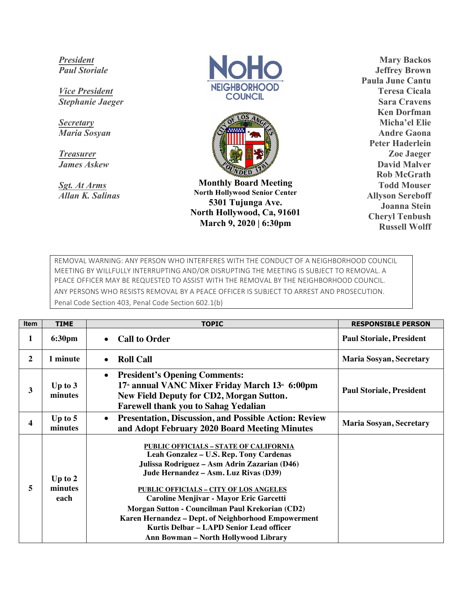*President Paul Storiale*

*Vice President Stephanie Jaeger*

*Secretary Maria Sosyan*

*Treasurer James Askew*

*Sgt. At Arms Allan K. Salinas*





**Monthly Board Meeting North Hollywood Senior Center 5301 Tujunga Ave. North Hollywood, Ca, 91601 March 9, 2020 | 6:30pm**

**Mary Backos Jeffrey Brown Paula June Cantu Teresa Cicala Sara Cravens Ken Dorfman Micha'el Elie Andre Gaona Peter Haderlein Zoe Jaeger David Malver Rob McGrath Todd Mouser Allyson Sereboff Joanna Stein Cheryl Tenbush Russell Wolff**

REMOVAL WARNING: ANY PERSON WHO INTERFERES WITH THE CONDUCT OF A NEIGHBORHOOD COUNCIL MEETING BY WILLFULLY INTERRUPTING AND/OR DISRUPTING THE MEETING IS SUBJECT TO REMOVAL. A PEACE OFFICER MAY BE REQUESTED TO ASSIST WITH THE REMOVAL BY THE NEIGHBORHOOD COUNCIL. ANY PERSONS WHO RESISTS REMOVAL BY A PEACE OFFICER IS SUBJECT TO ARREST AND PROSECUTION. Penal Code Section 403, Penal Code Section 602.1(b)

| <b>Item</b>  | <b>TIME</b>                  | <b>TOPIC</b>                                                                                                                                                                                                                                                                                                                                                                                                                                                                | <b>RESPONSIBLE PERSON</b>       |
|--------------|------------------------------|-----------------------------------------------------------------------------------------------------------------------------------------------------------------------------------------------------------------------------------------------------------------------------------------------------------------------------------------------------------------------------------------------------------------------------------------------------------------------------|---------------------------------|
| 1            | 6:30pm                       | <b>Call to Order</b><br>$\bullet$                                                                                                                                                                                                                                                                                                                                                                                                                                           | <b>Paul Storiale, President</b> |
| $\mathbf{2}$ | 1 minute                     | <b>Roll Call</b><br>$\bullet$                                                                                                                                                                                                                                                                                                                                                                                                                                               | <b>Maria Sosyan, Secretary</b>  |
| 3            | Up to $3$<br>minutes         | <b>President's Opening Comments:</b><br>$\bullet$<br>17 <sup>th</sup> annual VANC Mixer Friday March 13 <sup>th</sup> 6:00pm<br><b>New Field Deputy for CD2, Morgan Sutton.</b><br><b>Farewell thank you to Sahag Yedalian</b>                                                                                                                                                                                                                                              | <b>Paul Storiale, President</b> |
| 4            | Up to $5$<br>minutes         | <b>Presentation, Discussion, and Possible Action: Review</b><br>$\bullet$<br>and Adopt February 2020 Board Meeting Minutes                                                                                                                                                                                                                                                                                                                                                  | <b>Maria Sosyan, Secretary</b>  |
| 5            | Up to $2$<br>minutes<br>each | <b>PUBLIC OFFICIALS - STATE OF CALIFORNIA</b><br>Leah Gonzalez - U.S. Rep. Tony Cardenas<br>Julissa Rodriguez – Asm Adrin Zazarian (D46)<br>Jude Hernandez - Asm. Luz Rivas (D39)<br><b>PUBLIC OFFICIALS - CITY OF LOS ANGELES</b><br>Caroline Menjivar - Mayor Eric Garcetti<br>Morgan Sutton - Councilman Paul Krekorian (CD2)<br>Karen Hernandez - Dept. of Neighborhood Empowerment<br>Kurtis Delbar - LAPD Senior Lead officer<br>Ann Bowman - North Hollywood Library |                                 |